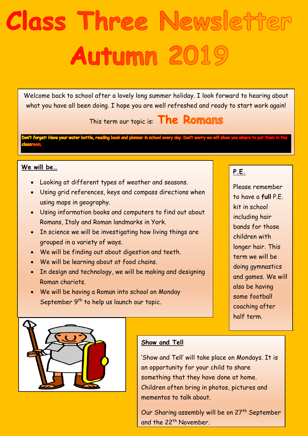# Class Three Newsletter Autumn 2019

Welcome back to school after a lovely long summer holiday. I look forward to hearing about what you have all been doing. I hope you are well refreshed and ready to start work again!

This term our topic is: **The Romans** 

ading book and planner in school every day. Don't

## **We will be…**

- Looking at different types of weather and seasons.
- Using grid references, keys and compass directions when using maps in geography.
- Using information books and computers to find out about Romans, Italy and Roman landmarks in York.
- In science we will be investigating how living things are grouped in a variety of ways.
- We will be finding out about digestion and teeth.
- We will be learning about at food chains.
- In design and technology, we will be making and designing Roman chariots.
- We will be having a Roman into school on Monday September 9<sup>th</sup> to help us launch our topic.

# **P.E.**

Please remember to have a **full** P.E. kit in school including hair bands for those children with longer hair. This term we will be doing gymnastics and games. We will also be having some football coaching after half term.



## **Show and Tell**

'Show and Tell' will take place on Mondays. It is an opportunity for your child to share something that they have done at home. Children often bring in photos, pictures and mementos to talk about.

Our Sharing assembly will be on 27<sup>th</sup> September and the 22<sup>th</sup> November.